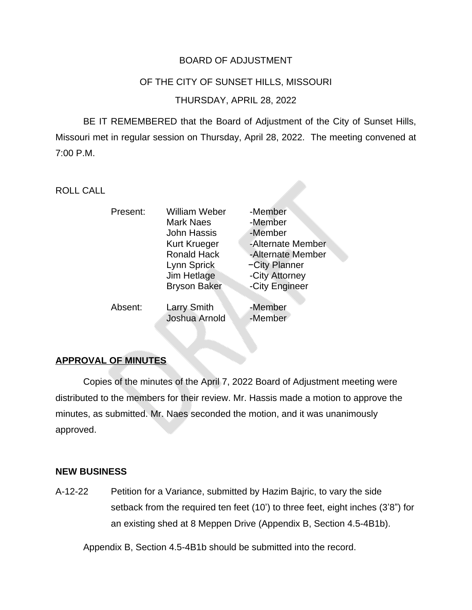# BOARD OF ADJUSTMENT

#### OF THE CITY OF SUNSET HILLS, MISSOURI

#### THURSDAY, APRIL 28, 2022

BE IT REMEMBERED that the Board of Adjustment of the City of Sunset Hills, Missouri met in regular session on Thursday, April 28, 2022. The meeting convened at 7:00 P.M.

ROLL CALL

| Present: | <b>William Weber</b><br><b>Mark Naes</b><br><b>John Hassis</b><br><b>Kurt Krueger</b><br><b>Ronald Hack</b><br>Lynn Sprick<br>Jim Hetlage | -Member<br>-Member<br>-Member<br>-Alternate Member<br>-Alternate Member<br>-City Planner<br>-City Attorney |
|----------|-------------------------------------------------------------------------------------------------------------------------------------------|------------------------------------------------------------------------------------------------------------|
|          | <b>Bryson Baker</b>                                                                                                                       | -City Engineer                                                                                             |
| Absent:  | <b>Larry Smith</b><br>Joshua Arnold                                                                                                       | -Member<br>-Member                                                                                         |

# **APPROVAL OF MINUTES**

Copies of the minutes of the April 7, 2022 Board of Adjustment meeting were distributed to the members for their review. Mr. Hassis made a motion to approve the minutes, as submitted. Mr. Naes seconded the motion, and it was unanimously approved.

#### **NEW BUSINESS**

A-12-22 Petition for a Variance, submitted by Hazim Bajric, to vary the side setback from the required ten feet (10') to three feet, eight inches (3'8") for an existing shed at 8 Meppen Drive (Appendix B, Section 4.5-4B1b).

Appendix B, Section 4.5-4B1b should be submitted into the record.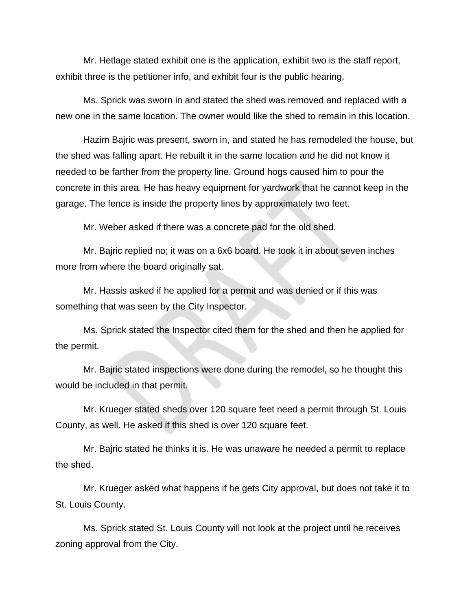Mr. Hetlage stated exhibit one is the application, exhibit two is the staff report, exhibit three is the petitioner info, and exhibit four is the public hearing.

Ms. Sprick was sworn in and stated the shed was removed and replaced with a new one in the same location. The owner would like the shed to remain in this location.

Hazim Bajric was present, sworn in, and stated he has remodeled the house, but the shed was falling apart. He rebuilt it in the same location and he did not know it needed to be farther from the property line. Ground hogs caused him to pour the concrete in this area. He has heavy equipment for yardwork that he cannot keep in the garage. The fence is inside the property lines by approximately two feet.

Mr. Weber asked if there was a concrete pad for the old shed.

Mr. Bajric replied no; it was on a 6x6 board. He took it in about seven inches more from where the board originally sat.

Mr. Hassis asked if he applied for a permit and was denied or if this was something that was seen by the City Inspector.

Ms. Sprick stated the Inspector cited them for the shed and then he applied for the permit.

Mr. Bajric stated inspections were done during the remodel, so he thought this would be included in that permit.

Mr. Krueger stated sheds over 120 square feet need a permit through St. Louis County, as well. He asked if this shed is over 120 square feet.

Mr. Bajric stated he thinks it is. He was unaware he needed a permit to replace the shed.

Mr. Krueger asked what happens if he gets City approval, but does not take it to St. Louis County.

Ms. Sprick stated St. Louis County will not look at the project until he receives zoning approval from the City.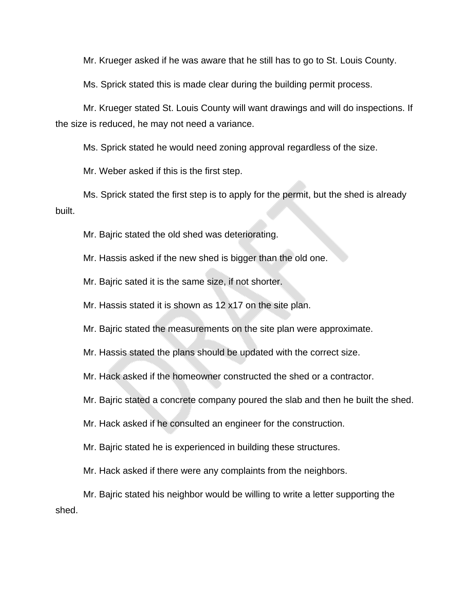Mr. Krueger asked if he was aware that he still has to go to St. Louis County.

Ms. Sprick stated this is made clear during the building permit process.

Mr. Krueger stated St. Louis County will want drawings and will do inspections. If the size is reduced, he may not need a variance.

Ms. Sprick stated he would need zoning approval regardless of the size.

Mr. Weber asked if this is the first step.

Ms. Sprick stated the first step is to apply for the permit, but the shed is already built.

Mr. Bajric stated the old shed was deteriorating.

Mr. Hassis asked if the new shed is bigger than the old one.

Mr. Bajric sated it is the same size, if not shorter.

Mr. Hassis stated it is shown as 12 x17 on the site plan.

Mr. Bajric stated the measurements on the site plan were approximate.

Mr. Hassis stated the plans should be updated with the correct size.

Mr. Hack asked if the homeowner constructed the shed or a contractor.

Mr. Bajric stated a concrete company poured the slab and then he built the shed.

Mr. Hack asked if he consulted an engineer for the construction.

Mr. Bajric stated he is experienced in building these structures.

Mr. Hack asked if there were any complaints from the neighbors.

Mr. Bajric stated his neighbor would be willing to write a letter supporting the shed.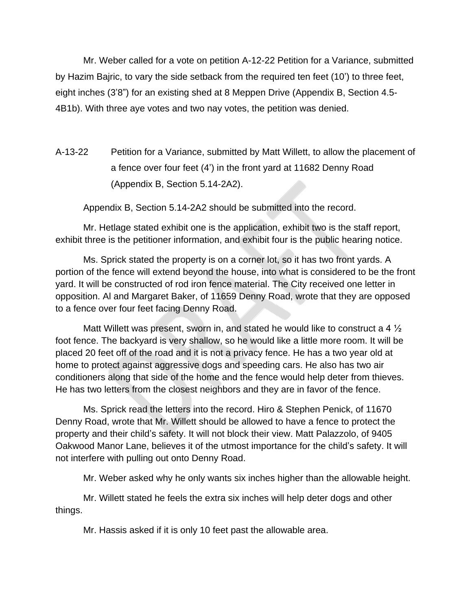Mr. Weber called for a vote on petition A-12-22 Petition for a Variance, submitted by Hazim Bajric, to vary the side setback from the required ten feet (10') to three feet, eight inches (3'8") for an existing shed at 8 Meppen Drive (Appendix B, Section 4.5- 4B1b). With three aye votes and two nay votes, the petition was denied.

A-13-22 Petition for a Variance, submitted by Matt Willett, to allow the placement of a fence over four feet (4') in the front yard at 11682 Denny Road (Appendix B, Section 5.14-2A2).

Appendix B, Section 5.14-2A2 should be submitted into the record.

Mr. Hetlage stated exhibit one is the application, exhibit two is the staff report, exhibit three is the petitioner information, and exhibit four is the public hearing notice.

Ms. Sprick stated the property is on a corner lot, so it has two front yards. A portion of the fence will extend beyond the house, into what is considered to be the front yard. It will be constructed of rod iron fence material. The City received one letter in opposition. Al and Margaret Baker, of 11659 Denny Road, wrote that they are opposed to a fence over four feet facing Denny Road.

Matt Willett was present, sworn in, and stated he would like to construct a 4  $\frac{1}{2}$ foot fence. The backyard is very shallow, so he would like a little more room. It will be placed 20 feet off of the road and it is not a privacy fence. He has a two year old at home to protect against aggressive dogs and speeding cars. He also has two air conditioners along that side of the home and the fence would help deter from thieves. He has two letters from the closest neighbors and they are in favor of the fence.

Ms. Sprick read the letters into the record. Hiro & Stephen Penick, of 11670 Denny Road, wrote that Mr. Willett should be allowed to have a fence to protect the property and their child's safety. It will not block their view. Matt Palazzolo, of 9405 Oakwood Manor Lane, believes it of the utmost importance for the child's safety. It will not interfere with pulling out onto Denny Road.

Mr. Weber asked why he only wants six inches higher than the allowable height.

Mr. Willett stated he feels the extra six inches will help deter dogs and other things.

Mr. Hassis asked if it is only 10 feet past the allowable area.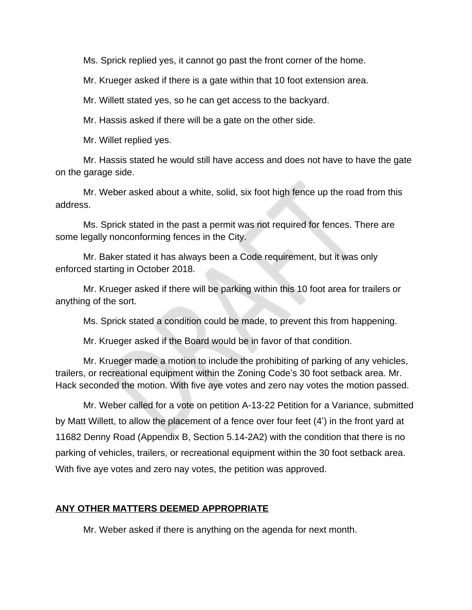Ms. Sprick replied yes, it cannot go past the front corner of the home.

Mr. Krueger asked if there is a gate within that 10 foot extension area.

Mr. Willett stated yes, so he can get access to the backyard.

Mr. Hassis asked if there will be a gate on the other side.

Mr. Willet replied yes.

Mr. Hassis stated he would still have access and does not have to have the gate on the garage side.

Mr. Weber asked about a white, solid, six foot high fence up the road from this address.

Ms. Sprick stated in the past a permit was not required for fences. There are some legally nonconforming fences in the City.

Mr. Baker stated it has always been a Code requirement, but it was only enforced starting in October 2018.

Mr. Krueger asked if there will be parking within this 10 foot area for trailers or anything of the sort.

Ms. Sprick stated a condition could be made, to prevent this from happening.

Mr. Krueger asked if the Board would be in favor of that condition.

Mr. Krueger made a motion to include the prohibiting of parking of any vehicles, trailers, or recreational equipment within the Zoning Code's 30 foot setback area. Mr. Hack seconded the motion. With five aye votes and zero nay votes the motion passed.

Mr. Weber called for a vote on petition A-13-22 Petition for a Variance, submitted by Matt Willett, to allow the placement of a fence over four feet (4') in the front yard at 11682 Denny Road (Appendix B, Section 5.14-2A2) with the condition that there is no parking of vehicles, trailers, or recreational equipment within the 30 foot setback area. With five aye votes and zero nay votes, the petition was approved.

# **ANY OTHER MATTERS DEEMED APPROPRIATE**

Mr. Weber asked if there is anything on the agenda for next month.